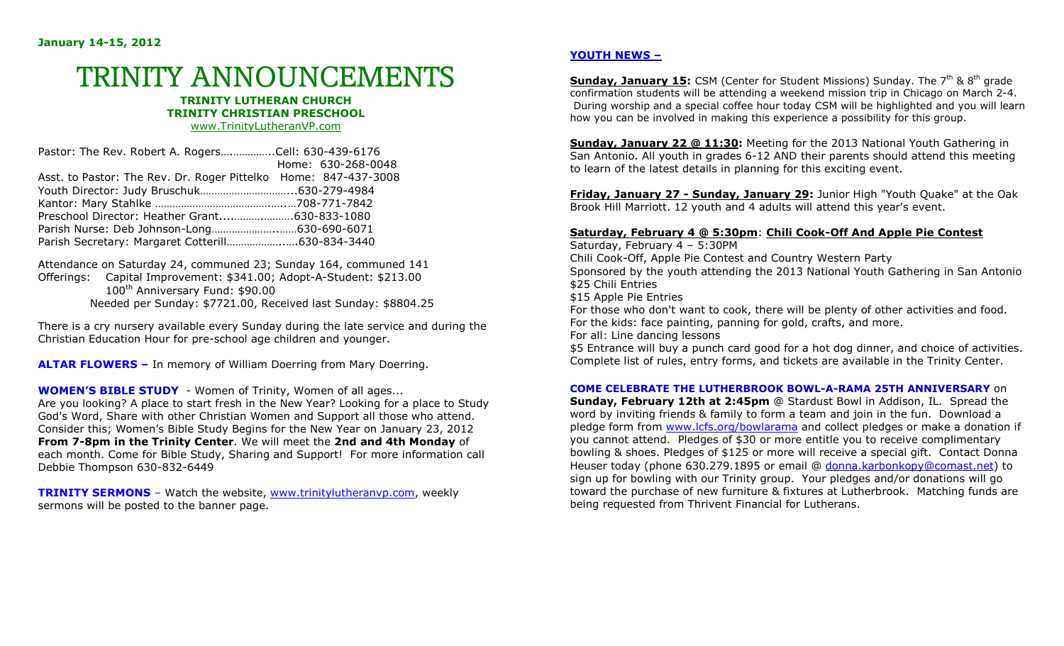# TRINITY ANNOUNCEMENTS

#### **TRINITY LUTHERAN CHURCH TRINITY CHRISTIAN PRESCHOOL**www.TrinityLutheranVP.com

|                                                                 | Pastor: The Rev. Robert A. RogersCell: 630-439-6176 |                    |  |
|-----------------------------------------------------------------|-----------------------------------------------------|--------------------|--|
|                                                                 |                                                     | Home: 630-268-0048 |  |
| Asst. to Pastor: The Rev. Dr. Roger Pittelko Home: 847-437-3008 |                                                     |                    |  |
|                                                                 |                                                     |                    |  |
|                                                                 |                                                     |                    |  |
| Preschool Director: Heather Grant630-833-1080                   |                                                     |                    |  |
|                                                                 |                                                     |                    |  |
| Parish Secretary: Margaret Cotterill630-834-3440                |                                                     |                    |  |

Attendance on Saturday 24, communed 23; Sunday 164, communed 141 Offerings: Capital Improvement: \$341.00; Adopt-A-Student: \$213.00 100<sup>th</sup> Anniversary Fund: \$90.00 Needed per Sunday: \$7721.00, Received last Sunday: \$8804.25

There is a cry nursery available every Sunday during the late service and during the Christian Education Hour for pre-school age children and younger.

**ALTAR FLOWERS –** In memory of William Doerring from Mary Doerring.

**WOMEN'S BIBLE STUDY** - Women of Trinity, Women of all ages... Are you looking? A place to start fresh in the New Year? Looking for a place to Study God's Word, Share with other Christian Women and Support all those who attend. Consider this; Women's Bible Study Begins for the New Year on January 23, 2012 **From 7-8pm in the Trinity Center**. We will meet the **2nd and 4th Monday** of each month. Come for Bible Study, Sharing and Support! For more information call Debbie Thompson 630-832-6449

**TRINITY SERMONS** – Watch the website, www.trinitylutheranvp.com, weekly sermons will be posted to the banner page.

### **YOUTH NEWS –**

**Sunday, January 15:** CSM (Center for Student Missions) Sunday. The 7th & 8th grade confirmation students will be attending a weekend mission trip in Chicago on March 2-4. During worship and a special coffee hour today CSM will be highlighted and you will learn how you can be involved in making this experience a possibility for this group.

**Sunday, January 22 @ 11:30:** Meeting for the 2013 National Youth Gathering in San Antonio. All youth in grades 6-12 AND their parents should attend this meeting to learn of the latest details in planning for this exciting event.

**Friday, January 27 - Sunday, January 29:** Junior High "Youth Quake" at the Oak Brook Hill Marriott. 12 youth and 4 adults will attend this year's event.

#### **Saturday, February 4 @ 5:30pm**: **Chili Cook-Off And Apple Pie Contest**

Saturday, February 4 – 5:30PM Chili Cook-Off, Apple Pie Contest and Country Western Party Sponsored by the youth attending the 2013 National Youth Gathering in San Antonio \$25 Chili Entries \$15 Apple Pie Entries For those who don't want to cook, there will be plenty of other activities and food. For the kids: face painting, panning for gold, crafts, and more. For all: Line dancing lessons

 \$5 Entrance will buy a punch card good for a hot dog dinner, and choice of activities. Complete list of rules, entry forms, and tickets are available in the Trinity Center.

## **COME CELEBRATE THE LUTHERBROOK BOWL-A-RAMA 25TH ANNIVERSARY** on

**Sunday, February 12th at 2:45pm** @ Stardust Bowl in Addison, IL. Spread the word by inviting friends & family to form a team and join in the fun. Download a pledge form from www.lcfs.org/bowlarama and collect pledges or make a donation if you cannot attend. Pledges of \$30 or more entitle you to receive complimentary bowling & shoes. Pledges of \$125 or more will receive a special gift. Contact Donna Heuser today (phone 630.279.1895 or email @ donna.karbonkopy@comast.net) to sign up for bowling with our Trinity group. Your pledges and/or donations will go toward the purchase of new furniture & fixtures at Lutherbrook. Matching funds are being requested from Thrivent Financial for Lutherans.